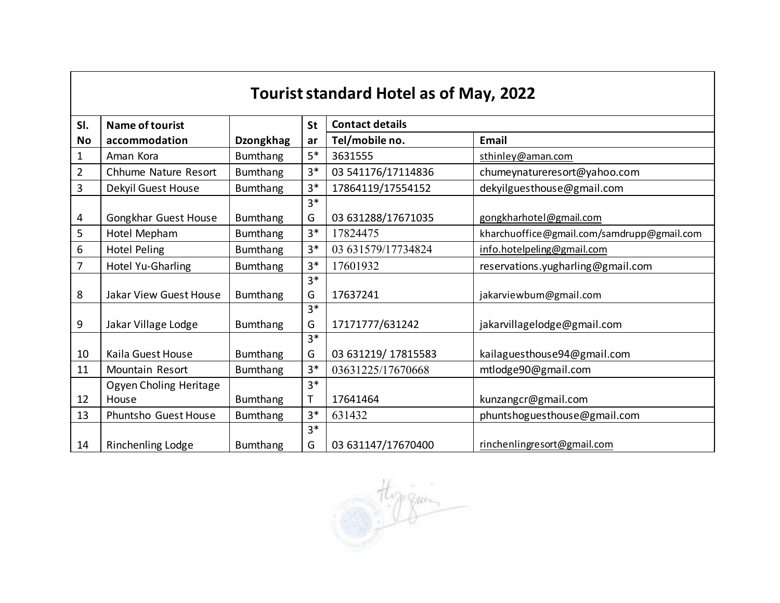|                | <b>Tourist standard Hotel as of May, 2022</b> |                  |              |                        |                                            |  |  |  |
|----------------|-----------------------------------------------|------------------|--------------|------------------------|--------------------------------------------|--|--|--|
| SI.            | <b>Name of tourist</b>                        |                  | <b>St</b>    | <b>Contact details</b> |                                            |  |  |  |
| <b>No</b>      | accommodation                                 | <b>Dzongkhag</b> | ar           | Tel/mobile no.         | <b>Email</b>                               |  |  |  |
| 1              | Aman Kora                                     | <b>Bumthang</b>  | $5*$         | 3631555                | sthinley@aman.com                          |  |  |  |
| $\overline{2}$ | Chhume Nature Resort                          | <b>Bumthang</b>  | $3*$         | 03 541176/17114836     | chumeynatureresort@yahoo.com               |  |  |  |
| 3              | Dekyil Guest House                            | <b>Bumthang</b>  | $3*$         | 17864119/17554152      | dekyilguesthouse@gmail.com                 |  |  |  |
|                |                                               |                  | $3*$         |                        |                                            |  |  |  |
| 4              | Gongkhar Guest House                          | <b>Bumthang</b>  | G            | 03 631288/17671035     | gongkharhotel@gmail.com                    |  |  |  |
| 5              | Hotel Mepham                                  | <b>Bumthang</b>  | $3*$         | 17824475               | kharchuoffice@gmail.com/samdrupp@gmail.com |  |  |  |
| 6              | <b>Hotel Peling</b>                           | <b>Bumthang</b>  | $3*$         | 03 631579/17734824     | info.hotelpeling@gmail.com                 |  |  |  |
| 7              | Hotel Yu-Gharling                             | <b>Bumthang</b>  | $3*$         | 17601932               | reservations.yugharling@gmail.com          |  |  |  |
|                |                                               |                  | $3*$         |                        |                                            |  |  |  |
| 8              | Jakar View Guest House                        | <b>Bumthang</b>  | G            | 17637241               | jakarviewbum@gmail.com                     |  |  |  |
|                |                                               |                  | $3*$         |                        |                                            |  |  |  |
| 9              | Jakar Village Lodge                           | <b>Bumthang</b>  | G            | 17171777/631242        | jakarvillagelodge@gmail.com                |  |  |  |
|                |                                               |                  | $3*$         |                        |                                            |  |  |  |
| 10             | Kaila Guest House                             | <b>Bumthang</b>  | G            | 03 631219/ 17815583    | kailaguesthouse94@gmail.com                |  |  |  |
| 11             | Mountain Resort                               | <b>Bumthang</b>  | $3*$         | 03631225/17670668      | mtlodge90@gmail.com                        |  |  |  |
|                | Ogyen Choling Heritage                        |                  | $3*$         |                        |                                            |  |  |  |
| 12             | House                                         | <b>Bumthang</b>  | $\mathsf{T}$ | 17641464               | kunzangcr@gmail.com                        |  |  |  |
| 13             | Phuntsho Guest House                          | <b>Bumthang</b>  | $3*$         | 631432                 | phuntshoguesthouse@gmail.com               |  |  |  |
|                |                                               |                  | $3*$         |                        |                                            |  |  |  |
| 14             | <b>Rinchenling Lodge</b>                      | <b>Bumthang</b>  | G            | 03 631147/17670400     | rinchenlingresort@gmail.com                |  |  |  |

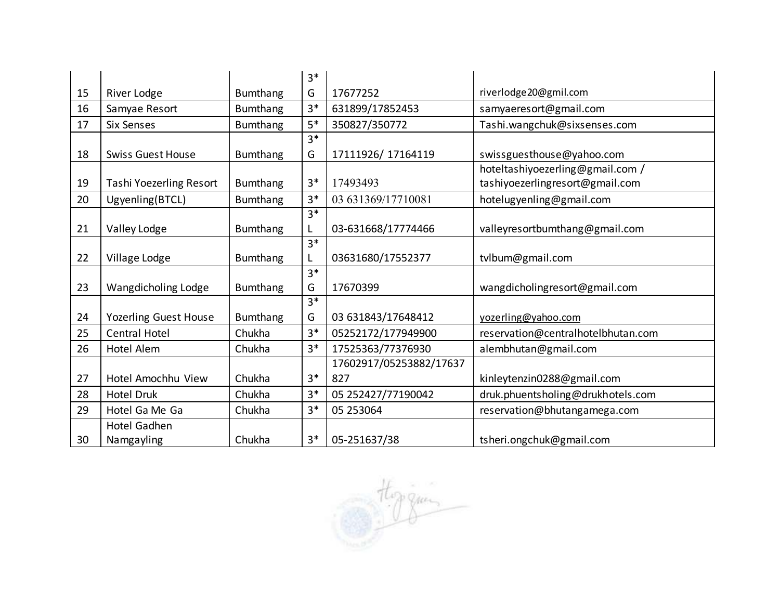|    |                                |                 | $3*$ |                         |                                    |
|----|--------------------------------|-----------------|------|-------------------------|------------------------------------|
| 15 | River Lodge                    | <b>Bumthang</b> | G    | 17677252                | riverlodge20@gmil.com              |
| 16 | Samyae Resort                  | <b>Bumthang</b> | $3*$ | 631899/17852453         | samyaeresort@gmail.com             |
| 17 | <b>Six Senses</b>              | <b>Bumthang</b> | $5*$ | 350827/350772           | Tashi.wangchuk@sixsenses.com       |
|    |                                |                 | $3*$ |                         |                                    |
| 18 | <b>Swiss Guest House</b>       | <b>Bumthang</b> | G    | 17111926/17164119       | swissguesthouse@yahoo.com          |
|    |                                |                 |      |                         | hoteltashiyoezerling@gmail.com /   |
| 19 | <b>Tashi Yoezerling Resort</b> | <b>Bumthang</b> | $3*$ | 17493493                | tashiyoezerlingresort@gmail.com    |
| 20 | Ugyenling(BTCL)                | <b>Bumthang</b> | $3*$ | 03 631369/17710081      | hotelugyenling@gmail.com           |
|    |                                |                 | $3*$ |                         |                                    |
| 21 | Valley Lodge                   | <b>Bumthang</b> | L    | 03-631668/17774466      | valleyres ortbumthang@gmail.com    |
|    |                                |                 | $3*$ |                         |                                    |
| 22 | Village Lodge                  | <b>Bumthang</b> | L    | 03631680/17552377       | tvlbum@gmail.com                   |
|    |                                |                 | $3*$ |                         |                                    |
| 23 | Wangdicholing Lodge            | <b>Bumthang</b> | G    | 17670399                | wangdicholingresort@gmail.com      |
|    |                                |                 | $3*$ |                         |                                    |
| 24 | <b>Yozerling Guest House</b>   | <b>Bumthang</b> | G    | 03 631843/17648412      | yozerling@yahoo.com                |
| 25 | <b>Central Hotel</b>           | Chukha          | $3*$ | 05252172/177949900      | reservation@centralhotelbhutan.com |
| 26 | Hotel Alem                     | Chukha          | $3*$ | 17525363/77376930       | alembhutan@gmail.com               |
|    |                                |                 |      | 17602917/05253882/17637 |                                    |
| 27 | Hotel Amochhu View             | Chukha          | $3*$ | 827                     | kinleytenzin0288@gmail.com         |
| 28 | <b>Hotel Druk</b>              | Chukha          | $3*$ | 05 252427/77190042      | druk.phuentsholing@drukhotels.com  |
| 29 | Hotel Ga Me Ga                 | Chukha          | $3*$ | 05 253064               | reservation@bhutangamega.com       |
|    | Hotel Gadhen                   |                 |      |                         |                                    |
| 30 | Namgayling                     | Chukha          | $3*$ | 05-251637/38            | tsheri.ongchuk@gmail.com           |

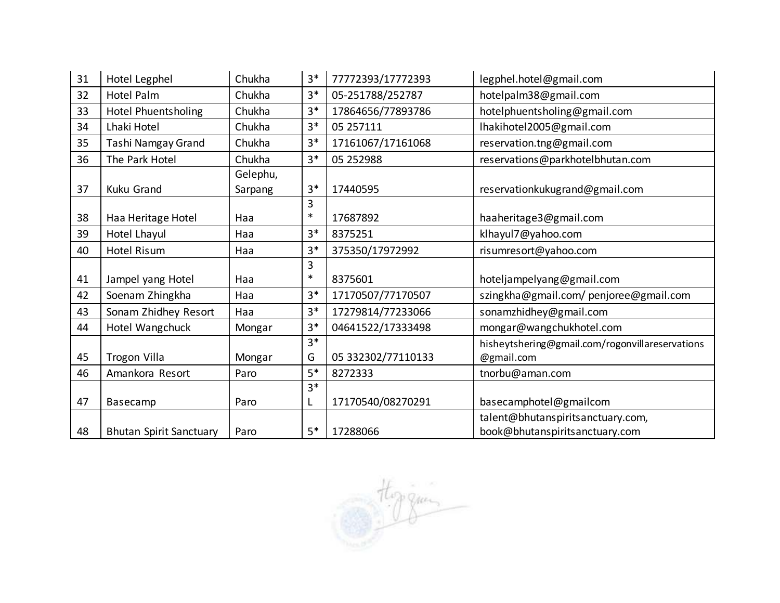| 31 | Hotel Legphel                  | Chukha   | $3*$   | 77772393/17772393  | legphel.hotel@gmail.com                         |
|----|--------------------------------|----------|--------|--------------------|-------------------------------------------------|
| 32 | Hotel Palm                     | Chukha   | $3*$   | 05-251788/252787   | hotelpalm38@gmail.com                           |
| 33 | Hotel Phuentsholing            | Chukha   | $3*$   | 17864656/77893786  | hotelphuentsholing@gmail.com                    |
| 34 | Lhaki Hotel                    | Chukha   | $3*$   | 05 257111          | lhakihotel2005@gmail.com                        |
| 35 | Tashi Namgay Grand             | Chukha   | $3*$   | 17161067/17161068  | reservation.tng@gmail.com                       |
| 36 | The Park Hotel                 | Chukha   | $3*$   | 05 25 2988         | reservations@parkhotelbhutan.com                |
|    |                                | Gelephu, |        |                    |                                                 |
| 37 | <b>Kuku Grand</b>              | Sarpang  | $3*$   | 17440595           | reservationkukugrand@gmail.com                  |
|    |                                |          | 3      |                    |                                                 |
| 38 | Haa Heritage Hotel             | Haa      | $\ast$ | 17687892           | haaheritage3@gmail.com                          |
| 39 | Hotel Lhayul                   | Haa      | $3*$   | 8375251            | klhayul7@yahoo.com                              |
| 40 | Hotel Risum                    | Haa      | $3*$   | 375350/17972992    | risumresort@yahoo.com                           |
|    |                                |          | 3      |                    |                                                 |
| 41 | Jampel yang Hotel              | Haa      | $\ast$ | 8375601            | hoteljampelyang@gmail.com                       |
| 42 | Soenam Zhingkha                | Haa      | $3*$   | 17170507/77170507  | szingkha@gmail.com/penjoree@gmail.com           |
| 43 | Sonam Zhidhey Resort           | Haa      | $3*$   | 17279814/77233066  | sonamzhidhey@gmail.com                          |
| 44 | Hotel Wangchuck                | Mongar   | $3*$   | 04641522/17333498  | mongar@wangchukhotel.com                        |
|    |                                |          | $3*$   |                    | hisheytshering@gmail.com/rogonvillareservations |
| 45 | <b>Trogon Villa</b>            | Mongar   | G      | 05 332302/77110133 | @gmail.com                                      |
| 46 | Amankora Resort                | Paro     | $5*$   | 8272333            | tnorbu@aman.com                                 |
|    |                                |          | $3*$   |                    |                                                 |
| 47 | Basecamp                       | Paro     | L      | 17170540/08270291  | basecamphotel@gmailcom                          |
|    |                                |          |        |                    | talent@bhutanspiritsanctuary.com,               |
| 48 | <b>Bhutan Spirit Sanctuary</b> | Paro     | $5*$   | 17288066           | book@bhutanspiritsanctuary.com                  |

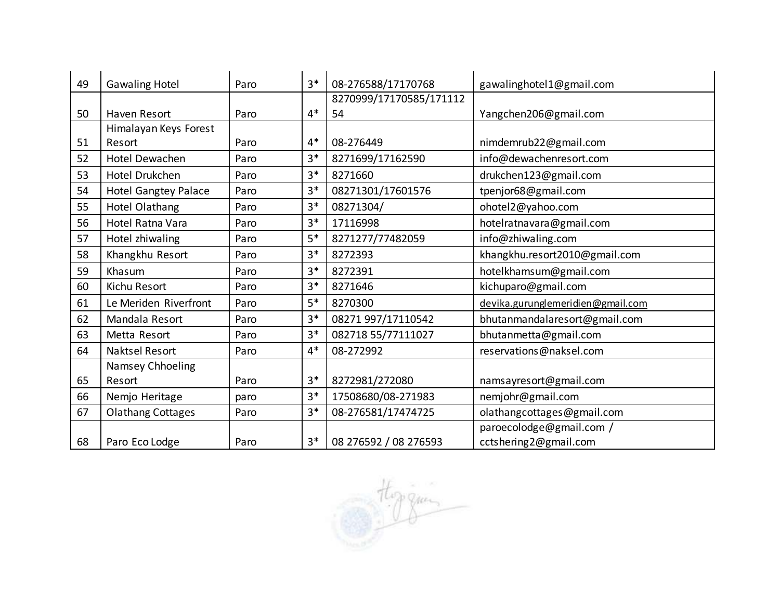| 49 | <b>Gawaling Hotel</b>       | Paro | $3*$ | 08-276588/17170768      | gawalinghotel1@gmail.com          |
|----|-----------------------------|------|------|-------------------------|-----------------------------------|
|    |                             |      |      | 8270999/17170585/171112 |                                   |
| 50 | <b>Haven Resort</b>         | Paro | $4*$ | 54                      | Yangchen206@gmail.com             |
|    | Himalayan Keys Forest       |      |      |                         |                                   |
| 51 | Resort                      | Paro | $4*$ | 08-276449               | nimdemrub22@gmail.com             |
| 52 | Hotel Dewachen              | Paro | $3*$ | 8271699/17162590        | info@dewachenresort.com           |
| 53 | Hotel Drukchen              | Paro | $3*$ | 8271660                 | drukchen123@gmail.com             |
| 54 | <b>Hotel Gangtey Palace</b> | Paro | $3*$ | 08271301/17601576       | tpenjor68@gmail.com               |
| 55 | Hotel Olathang              | Paro | $3*$ | 08271304/               | ohotel2@yahoo.com                 |
| 56 | Hotel Ratna Vara            | Paro | $3*$ | 17116998                | hotelratnavara@gmail.com          |
| 57 | Hotel zhiwaling             | Paro | $5*$ | 8271277/77482059        | info@zhiwaling.com                |
| 58 | Khangkhu Resort             | Paro | $3*$ | 8272393                 | khangkhu.resort2010@gmail.com     |
| 59 | Khasum                      | Paro | $3*$ | 8272391                 | hotelkhamsum@gmail.com            |
| 60 | Kichu Resort                | Paro | $3*$ | 8271646                 | kichuparo@gmail.com               |
| 61 | Le Meriden Riverfront       | Paro | $5*$ | 8270300                 | devika.gurunglemeridien@gmail.com |
| 62 | Mandala Resort              | Paro | $3*$ | 08271 997/17110542      | bhutanmandalaresort@gmail.com     |
| 63 | Metta Resort                | Paro | $3*$ | 082718 55/77111027      | bhutanmetta@gmail.com             |
| 64 | Naktsel Resort              | Paro | $4*$ | 08-272992               | reservations@naksel.com           |
|    | Namsey Chhoeling            |      |      |                         |                                   |
| 65 | Resort                      | Paro | $3*$ | 8272981/272080          | namsayresort@gmail.com            |
| 66 | Nemjo Heritage              | paro | $3*$ | 17508680/08-271983      | nemjohr@gmail.com                 |
| 67 | <b>Olathang Cottages</b>    | Paro | $3*$ | 08-276581/17474725      | olathangcottages@gmail.com        |
|    |                             |      |      |                         | paroecolodge@gmail.com /          |
| 68 | Paro Eco Lodge              | Paro | $3*$ | 08 276592 / 08 276593   | cctshering2@gmail.com             |

thoreau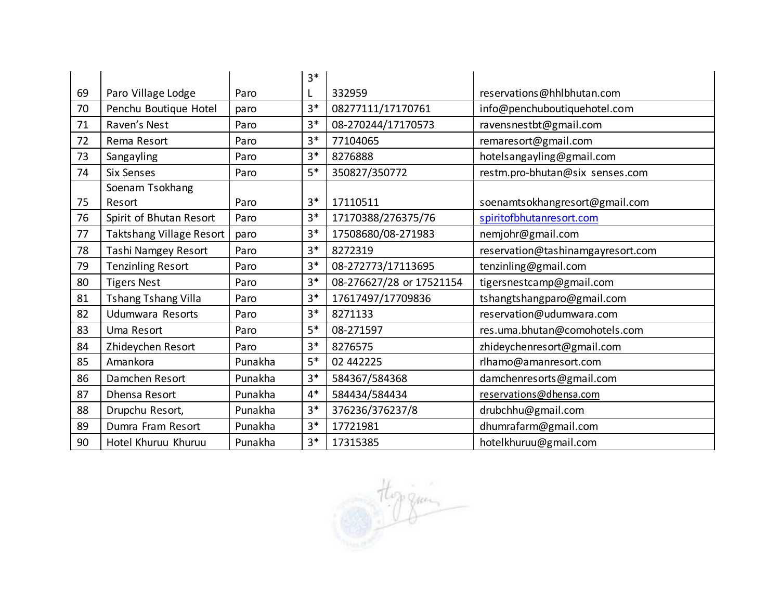|    |                          |         | $3*$ |                          |                                   |
|----|--------------------------|---------|------|--------------------------|-----------------------------------|
| 69 | Paro Village Lodge       | Paro    | L    | 332959                   | reservations@hhlbhutan.com        |
| 70 | Penchu Boutique Hotel    | paro    | $3*$ | 08277111/17170761        | info@penchuboutiquehotel.com      |
| 71 | Raven's Nest             | Paro    | $3*$ | 08-270244/17170573       | ravensnestbt@gmail.com            |
| 72 | Rema Resort              | Paro    | $3*$ | 77104065                 | remaresort@gmail.com              |
| 73 | Sangayling               | Paro    | $3*$ | 8276888                  | hotelsangayling@gmail.com         |
| 74 | <b>Six Senses</b>        | Paro    | $5*$ | 350827/350772            | restm.pro-bhutan@six senses.com   |
|    | Soenam Tsokhang          |         |      |                          |                                   |
| 75 | Resort                   | Paro    | $3*$ | 17110511                 | soenamtsokhangresort@gmail.com    |
| 76 | Spirit of Bhutan Resort  | Paro    | $3*$ | 17170388/276375/76       | spiritofbhutanresort.com          |
| 77 | Taktshang Village Resort | paro    | $3*$ | 17508680/08-271983       | nemjohr@gmail.com                 |
| 78 | Tashi Namgey Resort      | Paro    | $3*$ | 8272319                  | reservation@tashinamgayresort.com |
| 79 | <b>Tenzinling Resort</b> | Paro    | $3*$ | 08-272773/17113695       | tenzinling@gmail.com              |
| 80 | <b>Tigers Nest</b>       | Paro    | $3*$ | 08-276627/28 or 17521154 | tigersnestcamp@gmail.com          |
| 81 | Tshang Tshang Villa      | Paro    | $3*$ | 17617497/17709836        | tshangtshangparo@gmail.com        |
| 82 | Udumwara Resorts         | Paro    | $3*$ | 8271133                  | reservation@udumwara.com          |
| 83 | Uma Resort               | Paro    | $5*$ | 08-271597                | res.uma.bhutan@comohotels.com     |
| 84 | Zhideychen Resort        | Paro    | $3*$ | 8276575                  | zhideychenresort@gmail.com        |
| 85 | Amankora                 | Punakha | $5*$ | 02 442225                | rlhamo@amanresort.com             |
| 86 | Damchen Resort           | Punakha | $3*$ | 584367/584368            | damchenresorts@gmail.com          |
| 87 | Dhensa Resort            | Punakha | $4*$ | 584434/584434            | reservations@dhensa.com           |
| 88 | Drupchu Resort,          | Punakha | $3*$ | 376236/376237/8          | drubchhu@gmail.com                |
| 89 | Dumra Fram Resort        | Punakha | $3*$ | 17721981                 | dhumrafarm@gmail.com              |
| 90 | Hotel Khuruu Khuruu      | Punakha | $3*$ | 17315385                 | hotelkhuruu@gmail.com             |

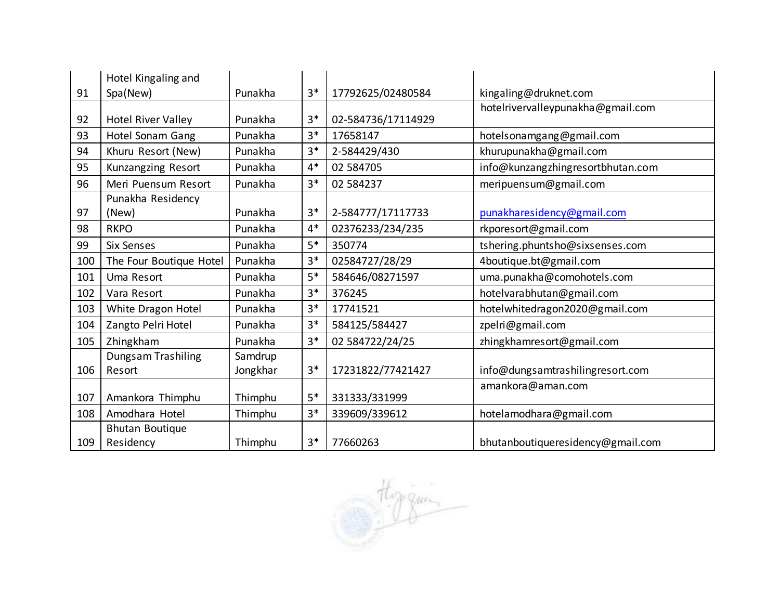|     | Hotel Kingaling and          |                     |      |                    |                                   |
|-----|------------------------------|---------------------|------|--------------------|-----------------------------------|
| 91  | Spa(New)                     | Punakha             | $3*$ | 17792625/02480584  | kingaling@druknet.com             |
| 92  | <b>Hotel River Valley</b>    | Punakha             | $3*$ | 02-584736/17114929 | hotelrivervalleypunakha@gmail.com |
| 93  | Hotel Sonam Gang             | Punakha             | $3*$ | 17658147           | hotelsonamgang@gmail.com          |
| 94  | Khuru Resort (New)           | Punakha             | $3*$ | 2-584429/430       | khurupunakha@gmail.com            |
| 95  | Kunzangzing Resort           | Punakha             | $4*$ | 02 584705          | info@kunzangzhingresortbhutan.com |
| 96  | Meri Puensum Resort          | Punakha             | $3*$ | 02 584237          | meripuensum@gmail.com             |
|     | Punakha Residency            |                     |      |                    |                                   |
| 97  | (New)                        | Punakha             | $3*$ | 2-584777/17117733  | punakharesidency@gmail.com        |
| 98  | <b>RKPO</b>                  | Punakha             | $4*$ | 02376233/234/235   | rkporesort@gmail.com              |
| 99  | <b>Six Senses</b>            | Punakha             | $5*$ | 350774             | tshering.phuntsho@sixsenses.com   |
| 100 | The Four Boutique Hotel      | Punakha             | $3*$ | 02584727/28/29     | 4boutique.bt@gmail.com            |
| 101 | Uma Resort                   | Punakha             | $5*$ | 584646/08271597    | uma.punakha@comohotels.com        |
| 102 | Vara Resort                  | Punakha             | $3*$ | 376245             | hotelvarabhutan@gmail.com         |
| 103 | White Dragon Hotel           | Punakha             | $3*$ | 17741521           | hotelwhitedragon2020@gmail.com    |
| 104 | Zangto Pelri Hotel           | Punakha             | $3*$ | 584125/584427      | zpelri@gmail.com                  |
| 105 | Zhingkham                    | Punakha             | $3*$ | 02 584722/24/25    | zhingkhamresort@gmail.com         |
| 106 | Dungsam Trashiling<br>Resort | Samdrup<br>Jongkhar | $3*$ | 17231822/77421427  | info@dungsamtrashilingresort.com  |
| 107 | Amankora Thimphu             | Thimphu             | 5*   | 331333/331999      | amankora@aman.com                 |
| 108 | Amodhara Hotel               | Thimphu             | $3*$ | 339609/339612      | hotelamodhara@gmail.com           |
|     | <b>Bhutan Boutique</b>       |                     |      |                    |                                   |
| 109 | Residency                    | Thimphu             | $3*$ | 77660263           | bhutanboutiqueresidency@gmail.com |

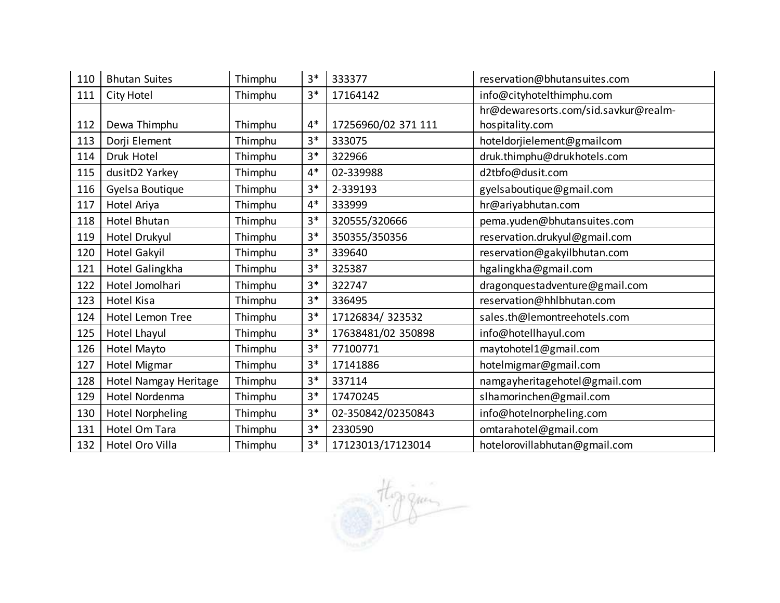| 110 | <b>Bhutan Suites</b>    | Thimphu | $3*$ | 333377              | reservation@bhutansuites.com         |
|-----|-------------------------|---------|------|---------------------|--------------------------------------|
| 111 | City Hotel              | Thimphu | $3*$ | 17164142            | info@cityhotelthimphu.com            |
|     |                         |         |      |                     | hr@dewaresorts.com/sid.savkur@realm- |
| 112 | Dewa Thimphu            | Thimphu | $4*$ | 17256960/02 371 111 | hospitality.com                      |
| 113 | Dorji Element           | Thimphu | $3*$ | 333075              | hoteldorjielement@gmailcom           |
| 114 | Druk Hotel              | Thimphu | $3*$ | 322966              | druk.thimphu@drukhotels.com          |
| 115 | dusitD2 Yarkey          | Thimphu | $4*$ | 02-339988           | d2tbfo@dusit.com                     |
| 116 | Gyelsa Boutique         | Thimphu | $3*$ | 2-339193            | gyelsaboutique@gmail.com             |
| 117 | Hotel Ariya             | Thimphu | $4*$ | 333999              | hr@ariyabhutan.com                   |
| 118 | Hotel Bhutan            | Thimphu | $3*$ | 320555/320666       | pema.yuden@bhutansuites.com          |
| 119 | Hotel Drukyul           | Thimphu | $3*$ | 350355/350356       | reservation.drukyul@gmail.com        |
| 120 | <b>Hotel Gakyil</b>     | Thimphu | $3*$ | 339640              | reservation@gakyilbhutan.com         |
| 121 | Hotel Galingkha         | Thimphu | $3*$ | 325387              | hgalingkha@gmail.com                 |
| 122 | Hotel Jomolhari         | Thimphu | $3*$ | 322747              | dragonquestadventure@gmail.com       |
| 123 | Hotel Kisa              | Thimphu | $3*$ | 336495              | reservation@hhlbhutan.com            |
| 124 | Hotel Lemon Tree        | Thimphu | $3*$ | 17126834/323532     | sales.th@lemontreehotels.com         |
| 125 | Hotel Lhayul            | Thimphu | $3*$ | 17638481/02 350898  | info@hotellhayul.com                 |
| 126 | Hotel Mayto             | Thimphu | $3*$ | 77100771            | maytohotel1@gmail.com                |
| 127 | Hotel Migmar            | Thimphu | $3*$ | 17141886            | hotelmigmar@gmail.com                |
| 128 | Hotel Namgay Heritage   | Thimphu | $3*$ | 337114              | namgayheritagehotel@gmail.com        |
| 129 | Hotel Nordenma          | Thimphu | $3*$ | 17470245            | slhamorinchen@gmail.com              |
| 130 | <b>Hotel Norpheling</b> | Thimphu | $3*$ | 02-350842/02350843  | info@hoteInorpheling.com             |
| 131 | Hotel Om Tara           | Thimphu | $3*$ | 2330590             | omtarahotel@gmail.com                |
| 132 | Hotel Oro Villa         | Thimphu | $3*$ | 17123013/17123014   | hotelorovillabhutan@gmail.com        |

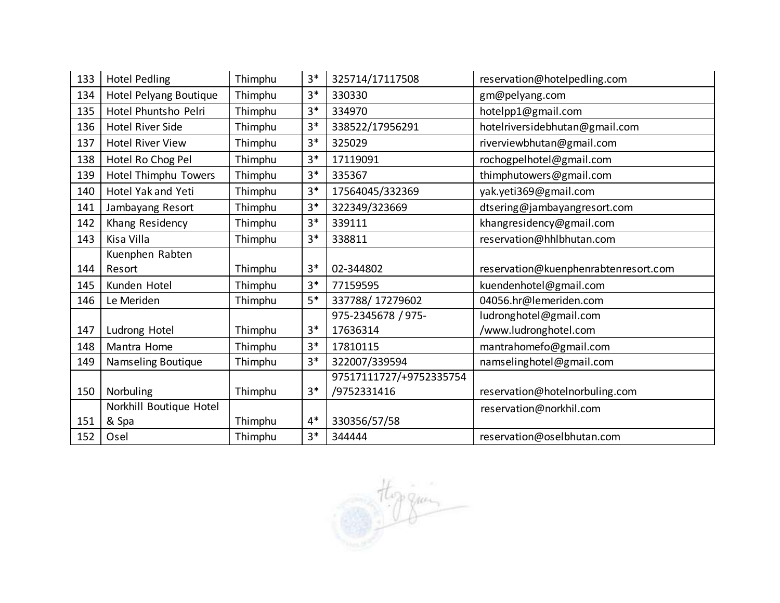| 133 | <b>Hotel Pedling</b>    | Thimphu | $3*$ | 325714/17117508         | reservation@hotelpedling.com         |
|-----|-------------------------|---------|------|-------------------------|--------------------------------------|
| 134 | Hotel Pelyang Boutique  | Thimphu | $3*$ | 330330                  | gm@pelyang.com                       |
| 135 | Hotel Phuntsho Pelri    | Thimphu | $3*$ | 334970                  | hotelpp1@gmail.com                   |
| 136 | <b>Hotel River Side</b> | Thimphu | $3*$ | 338522/17956291         | hotelriversidebhutan@gmail.com       |
| 137 | <b>Hotel River View</b> | Thimphu | $3*$ | 325029                  | riverviewbhutan@gmail.com            |
| 138 | Hotel Ro Chog Pel       | Thimphu | $3*$ | 17119091                | rochogpelhotel@gmail.com             |
| 139 | Hotel Thimphu Towers    | Thimphu | $3*$ | 335367                  | thimphutowers@gmail.com              |
| 140 | Hotel Yak and Yeti      | Thimphu | $3*$ | 17564045/332369         | yak.yeti369@gmail.com                |
| 141 | Jambayang Resort        | Thimphu | $3*$ | 322349/323669           | dtsering@jambayangresort.com         |
| 142 | Khang Residency         | Thimphu | $3*$ | 339111                  | khangresidency@gmail.com             |
| 143 | Kisa Villa              | Thimphu | $3*$ | 338811                  | reservation@hhlbhutan.com            |
|     | Kuenphen Rabten         |         |      |                         |                                      |
| 144 | Resort                  | Thimphu | $3*$ | 02-344802               | reservation@kuenphenrabtenresort.com |
| 145 | Kunden Hotel            | Thimphu | $3*$ | 77159595                | kuendenhotel@gmail.com               |
| 146 | Le Meriden              | Thimphu | $5*$ | 337788/17279602         | 04056.hr@lemeriden.com               |
|     |                         |         |      | 975-2345678 / 975-      | ludronghotel@gmail.com               |
| 147 | Ludrong Hotel           | Thimphu | $3*$ | 17636314                | /www.ludronghotel.com                |
| 148 | Mantra Home             | Thimphu | $3*$ | 17810115                | mantrahomefo@gmail.com               |
| 149 | Namseling Boutique      | Thimphu | $3*$ | 322007/339594           | namselinghotel@gmail.com             |
|     |                         |         |      | 97517111727/+9752335754 |                                      |
| 150 | Norbuling               | Thimphu | $3*$ | /9752331416             | reservation@hotelnorbuling.com       |
|     | Norkhill Boutique Hotel |         |      |                         | reservation@norkhil.com              |
| 151 | & Spa                   | Thimphu | $4*$ | 330356/57/58            |                                      |
| 152 | Osel                    | Thimphu | $3*$ | 344444                  | reservation@oselbhutan.com           |

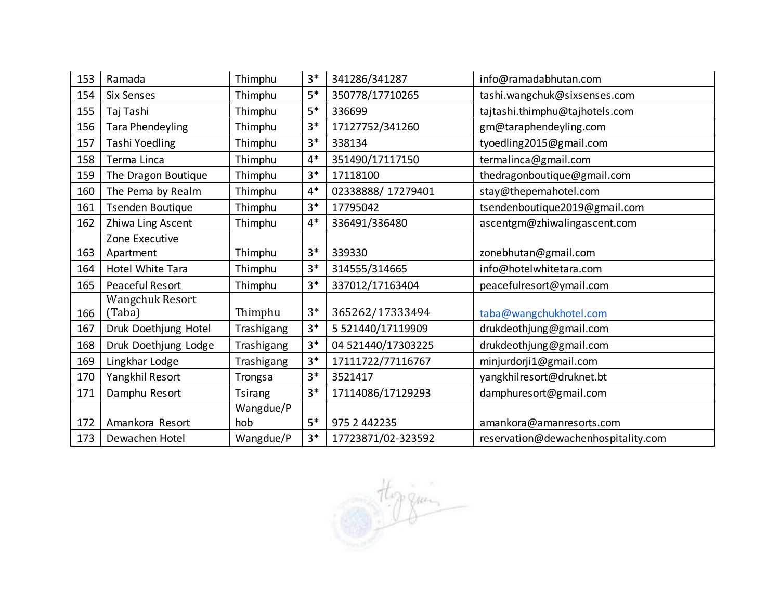| 153 | Ramada                  | Thimphu        | $3*$ | 341286/341287      | info@ramadabhutan.com               |
|-----|-------------------------|----------------|------|--------------------|-------------------------------------|
| 154 | Six Senses              | Thimphu        | $5*$ | 350778/17710265    | tashi.wangchuk@sixsenses.com        |
| 155 | Taj Tashi               | Thimphu        | 5*   | 336699             | tajtashi.thimphu@tajhotels.com      |
| 156 | Tara Phendeyling        | Thimphu        | $3*$ | 17127752/341260    | gm@taraphendeyling.com              |
| 157 | Tashi Yoedling          | Thimphu        | $3*$ | 338134             | tyoedling2015@gmail.com             |
| 158 | Terma Linca             | Thimphu        | $4*$ | 351490/17117150    | termalinca@gmail.com                |
| 159 | The Dragon Boutique     | Thimphu        | $3*$ | 17118100           | thedragonboutique@gmail.com         |
| 160 | The Pema by Realm       | Thimphu        | $4*$ | 02338888/17279401  | stay@thepemahotel.com               |
| 161 | <b>Tsenden Boutique</b> | Thimphu        | $3*$ | 17795042           | tsendenboutique2019@gmail.com       |
| 162 | Zhiwa Ling Ascent       | Thimphu        | $4*$ | 336491/336480      | ascentgm@zhiwalingascent.com        |
|     | Zone Executive          |                |      |                    |                                     |
| 163 | Apartment               | Thimphu        | $3*$ | 339330             | zonebhutan@gmail.com                |
| 164 | Hotel White Tara        | Thimphu        | $3*$ | 314555/314665      | info@hotelwhitetara.com             |
| 165 | Peaceful Resort         | Thimphu        | $3*$ | 337012/17163404    | peacefulresort@ymail.com            |
|     | Wangchuk Resort         |                |      |                    |                                     |
| 166 | (Taba)                  | Thimphu        | $3*$ | 365262/17333494    | taba@wangchukhotel.com              |
| 167 | Druk Doethjung Hotel    | Trashigang     | $3*$ | 5 521440/17119909  | drukdeothjung@gmail.com             |
| 168 | Druk Doethjung Lodge    | Trashigang     | $3*$ | 04 521440/17303225 | drukdeothjung@gmail.com             |
| 169 | Lingkhar Lodge          | Trashigang     | $3*$ | 17111722/77116767  | minjurdorji1@gmail.com              |
| 170 | Yangkhil Resort         | Trongsa        | $3*$ | 3521417            | yangkhilresort@druknet.bt           |
| 171 | Damphu Resort           | <b>Tsirang</b> | $3*$ | 17114086/17129293  | damphuresort@gmail.com              |
|     |                         | Wangdue/P      |      |                    |                                     |
| 172 | Amankora Resort         | hob            | 5*   | 975 2 442235       | amankora@amanresorts.com            |
| 173 | Dewachen Hotel          | Wangdue/P      | $3*$ | 17723871/02-323592 | reservation@dewachenhospitality.com |